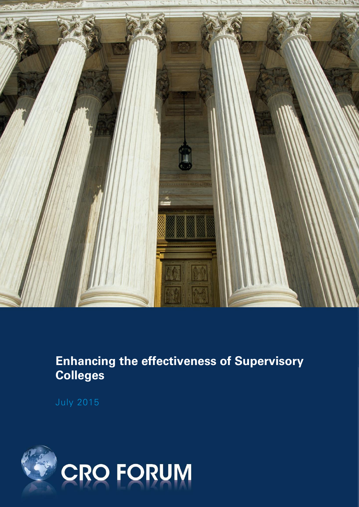

# **Enhancing the effectiveness of Supervisory Colleges**

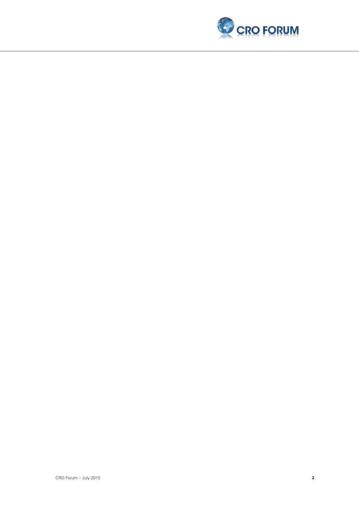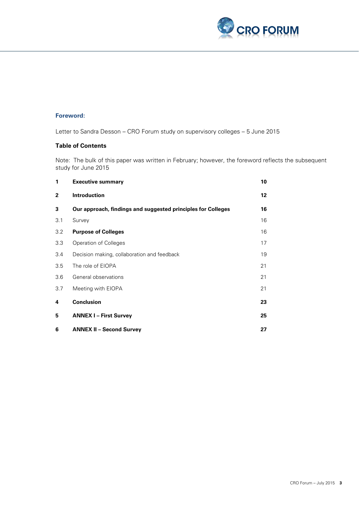

# **Foreword:**

Letter to Sandra Desson – CRO Forum study on supervisory colleges – 5 June 2015

## **Table of Contents**

Note: The bulk of this paper was written in February; however, the foreword reflects the subsequent study for June 2015

| 1              | <b>Executive summary</b>                                     | 10 |
|----------------|--------------------------------------------------------------|----|
| $\overline{2}$ | <b>Introduction</b>                                          | 12 |
| 3              | Our approach, findings and suggested principles for Colleges | 16 |
| 3.1            | Survey                                                       | 16 |
| 3.2            | <b>Purpose of Colleges</b>                                   | 16 |
| 3.3            | Operation of Colleges                                        | 17 |
| 3.4            | Decision making, collaboration and feedback                  | 19 |
| 3.5            | The role of EIOPA                                            | 21 |
| 3.6            | General observations                                         | 21 |
| 3.7            | Meeting with EIOPA                                           | 21 |
| 4              | <b>Conclusion</b>                                            | 23 |
| 5              | <b>ANNEX I - First Survey</b>                                | 25 |
| 6              | <b>ANNEX II - Second Survey</b>                              | 27 |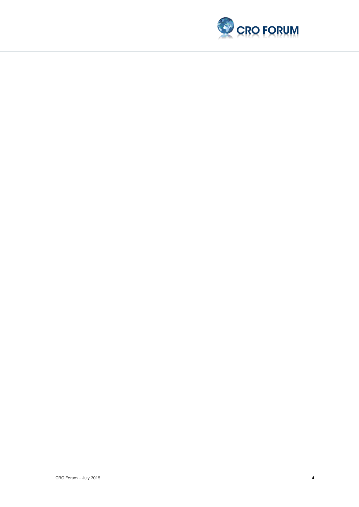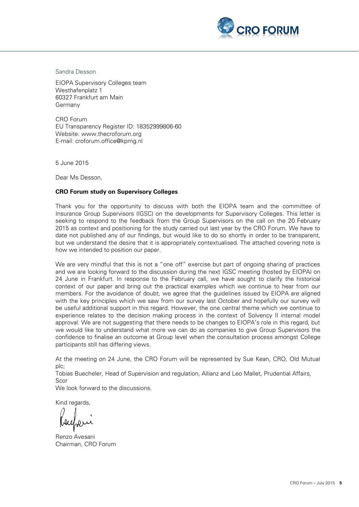

Sandra Desson

EIOPA Supervisory Colleges team Westhafenplatz 1 60327 Frankfurt am Main Germany

CRO Forum EU Transparency Register ID: 18352999806-60 Website: www.thecroforum.org E-mail: [croforum.office@kpmg.nl](mailto:croforum.office@kpmg.nl)

5 June 2015

Dear Ms Desson,

#### **CRO Forum study on Supervisory Colleges**

Thank you for the opportunity to discuss with both the EIOPA team and the committee of Insurance Group Supervisors (IGSC) on the developments for Supervisory Colleges. This letter is seeking to respond to the feedback from the Group Supervisors on the call on the 20 February 2015 as context and positioning for the study carried out last year by the CRO Forum. We have to date not published any of our findings, but would like to do so shortly in order to be transparent, but we understand the desire that it is appropriately contextualised. The attached covering note is how we intended to position our paper.

We are very mindful that this is not a "one off" exercise but part of ongoing sharing of practices and we are looking forward to the discussion during the next IGSC meeting (hosted by EIOPA) on 24 June in Frankfurt. In response to the February call, we have sought to clarify the historical context of our paper and bring out the practical examples which we continue to hear from our members. For the avoidance of doubt, we agree that the guidelines issued by EIOPA are aligned with the key principles which we saw from our survey last October and hopefully our survey will be useful additional support in this regard. However, the one central theme which we continue to experience relates to the decision making process in the context of Solvency II internal model approval. We are not suggesting that there needs to be changes to EIOPA's role in this regard, but we would like to understand what more we can do as companies to give Group Supervisors the confidence to finalise an outcome at Group level when the consultation process amongst College participants still has differing views.

At the meeting on 24 June, the CRO Forum will be represented by Sue Kean, CRO, Old Mutual plc;

Tobias Buecheler, Head of Supervision and regulation, Allianz and Leo Mallet, Prudential Affairs, Scor

We look forward to the discussions.

Kind regards,

Renzo Avesani Chairman, CRO Forum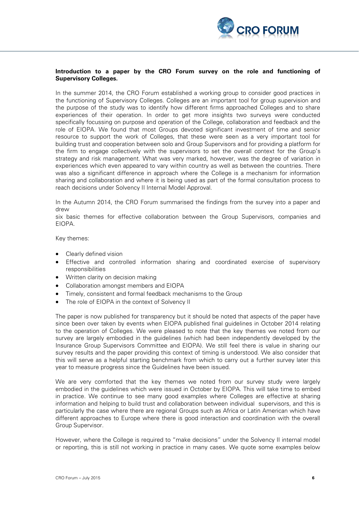

## **Introduction to a paper by the CRO Forum survey on the role and functioning of Supervisory Colleges.**

In the summer 2014, the CRO Forum established a working group to consider good practices in the functioning of Supervisory Colleges. Colleges are an important tool for group supervision and the purpose of the study was to identify how different firms approached Colleges and to share experiences of their operation. In order to get more insights two surveys were conducted specifically focussing on purpose and operation of the College, collaboration and feedback and the role of EIOPA. We found that most Groups devoted significant investment of time and senior resource to support the work of Colleges, that these were seen as a very important tool for building trust and cooperation between solo and Group Supervisors and for providing a platform for the firm to engage collectively with the supervisors to set the overall context for the Group's strategy and risk management. What was very marked, however, was the degree of variation in experiences which even appeared to vary within country as well as between the countries. There was also a significant difference in approach where the College is a mechanism for information sharing and collaboration and where it is being used as part of the formal consultation process to reach decisions under Solvency II Internal Model Approval.

In the Autumn 2014, the CRO Forum summarised the findings from the survey into a paper and drew

six basic themes for effective collaboration between the Group Supervisors, companies and EIOPA.

Key themes:

- Clearly defined vision
- Effective and controlled information sharing and coordinated exercise of supervisory responsibilities
- Written clarity on decision making
- Collaboration amongst members and EIOPA
- Timely, consistent and formal feedback mechanisms to the Group
- The role of EIOPA in the context of Solvency II

The paper is now published for transparency but it should be noted that aspects of the paper have since been over taken by events when EIOPA published final guidelines in October 2014 relating to the operation of Colleges. We were pleased to note that the key themes we noted from our survey are largely embodied in the guidelines (which had been independently developed by the Insurance Group Supervisors Committee and EIOPA). We still feel there is value in sharing our survey results and the paper providing this context of timing is understood. We also consider that this will serve as a helpful starting benchmark from which to carry out a further survey later this year to measure progress since the Guidelines have been issued.

We are very comforted that the key themes we noted from our survey study were largely embodied in the guidelines which were issued in October by EIOPA. This will take time to embed in practice. We continue to see many good examples where Colleges are effective at sharing information and helping to build trust and collaboration between individual supervisors, and this is particularly the case where there are regional Groups such as Africa or Latin American which have different approaches to Europe where there is good interaction and coordination with the overall Group Supervisor.

However, where the College is required to "make decisions" under the Solvency II internal model or reporting, this is still not working in practice in many cases. We quote some examples below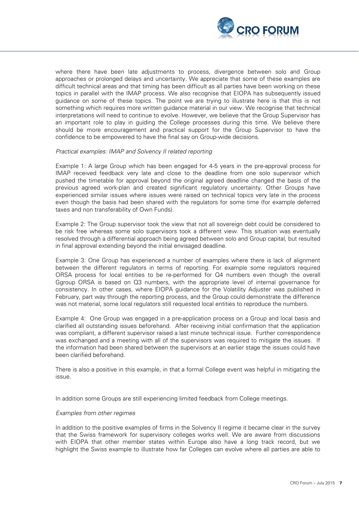

where there have been late adjustments to process, divergence between solo and Group approaches or prolonged delays and uncertainty. We appreciate that some of these examples are difficult technical areas and that timing has been difficult as all parties have been working on these topics in parallel with the IMAP process. We also recognise that EIOPA has subsequently issued guidance on some of these topics. The point we are trying to illustrate here is that this is not something which requires more written guidance material in our view. We recognise that technical interpretations will need to continue to evolve. However, we believe that the Group Supervisor has an important role to play in guiding the College processes during this time. We believe there should be more encouragement and practical support for the Group Supervisor to have the confidence to be empowered to have the final say on Group-wide decisions.

#### *Practical examples: IMAP and Solvency II related reporting*

Example 1: A large Group which has been engaged for 4-5 years in the pre-approval process for IMAP received feedback very late and close to the deadline from one solo supervisor which pushed the timetable for approval beyond the original agreed deadline changed the basis of the previous agreed work-plan and created significant regulatory uncertainty. Other Groups have experienced similar issues where issues were raised on technical topics very late in the process even though the basis had been shared with the regulators for some time (for example deferred taxes and non transferability of Own Funds).

Example 2: The Group supervisor took the view that not all sovereign debt could be considered to be risk free whereas some solo supervisors took a different view. This situation was eventually resolved through a differential approach being agreed between solo and Group capital, but resulted in final approval extending beyond the initial envisaged deadline.

Example 3: One Group has experienced a number of examples where there is lack of alignment between the different regulators in terms of reporting. For example some regulators required ORSA process for local entities to be re-performed for Q4 numbers even though the overall Ggroup ORSA is based on Q3 numbers, with the appropriate level of internal governance for consistency. In other cases, where EIOPA guidance for the Volatility Adjuster was published in February, part way through the reporting process, and the Group could demonstrate the difference was not material, some local regulators still requested local entities to reproduce the numbers.

Example 4: One Group was engaged in a pre-application process on a Group and local basis and clarified all outstanding issues beforehand. After receiving initial confirmation that the application was compliant, a different supervisor raised a last minute technical issue. Further correspondence was exchanged and a meeting with all of the supervisors was required to mitigate the issues. If the information had been shared between the supervisors at an earlier stage the issues could have been clarified beforehand.

There is also a positive in this example, in that a formal College event was helpful in mitigating the issue.

In addition some Groups are still experiencing limited feedback from College meetings.

#### *Examples from other regimes*

In addition to the positive examples of firms in the Solvency II regime it became clear in the survey that the Swiss framework for supervisory colleges works well. We are aware from discussions with EIOPA that other member states within Europe also have a long track record, but we highlight the Swiss example to illustrate how far Colleges can evolve where all parties are able to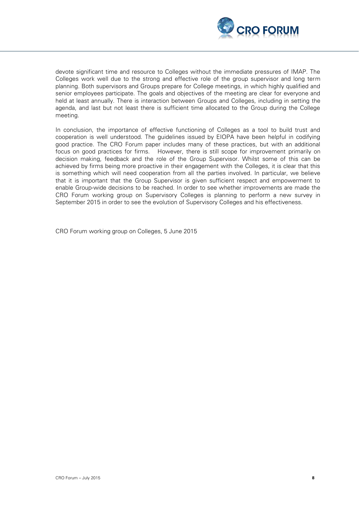

devote significant time and resource to Colleges without the immediate pressures of IMAP. The Colleges work well due to the strong and effective role of the group supervisor and long term planning. Both supervisors and Groups prepare for College meetings, in which highly qualified and senior employees participate. The goals and objectives of the meeting are clear for everyone and held at least annually. There is interaction between Groups and Colleges, including in setting the agenda, and last but not least there is sufficient time allocated to the Group during the College meeting.

In conclusion, the importance of effective functioning of Colleges as a tool to build trust and cooperation is well understood. The guidelines issued by EIOPA have been helpful in codifying good practice. The CRO Forum paper includes many of these practices, but with an additional focus on good practices for firms. However, there is still scope for improvement primarily on decision making, feedback and the role of the Group Supervisor. Whilst some of this can be achieved by firms being more proactive in their engagement with the Colleges, it is clear that this is something which will need cooperation from all the parties involved. In particular, we believe that it is important that the Group Supervisor is given sufficient respect and empowerment to enable Group-wide decisions to be reached. In order to see whether improvements are made the CRO Forum working group on Supervisory Colleges is planning to perform a new survey in September 2015 in order to see the evolution of Supervisory Colleges and his effectiveness.

CRO Forum working group on Colleges, 5 June 2015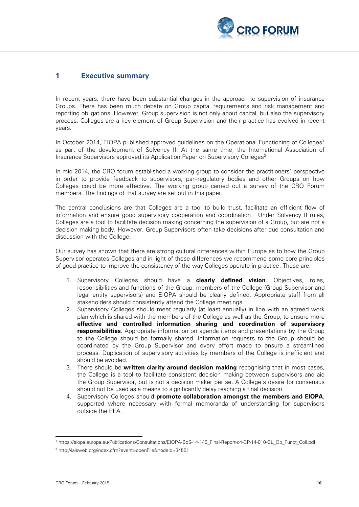

# **1 Executive summary**

In recent years, there have been substantial changes in the approach to supervision of insurance Groups. There has been much debate on Group capital requirements and risk management and reporting obligations. However, Group supervision is not only about capital, but also the supervisory process. Colleges are a key element of Group Supervision and their practice has evolved in recent years.

In October 2014, EIOPA published approved quidelines on the Operational Functioning of Colleges<sup>1</sup> as part of the development of Solvency II. At the same time, the International Association of Insurance Supervisors approved its Application Paper on Supervisory Colleges<sup>2</sup>.

In mid 2014, the CRO forum established a working group to consider the practitioners' perspective in order to provide feedback to supervisors, pan-regulatory bodies and other Groups on how Colleges could be more effective. The working group carried out a survey of the CRO Forum members. The findings of that survey are set out in this paper.

The central conclusions are that Colleges are a tool to build trust, facilitate an efficient flow of information and ensure good supervisory cooperation and coordination. Under Solvency II rules, Colleges are a tool to facilitate decision making concerning the supervision of a Group, but are not a decision making body. However, Group Supervisors often take decisions after due consultation and discussion with the College.

Our survey has shown that there are strong cultural differences within Europe as to how the Group Supervisor operates Colleges and in light of these differences we recommend some core principles of good practice to improve the consistency of the way Colleges operate in practice. These are:

- 1. Supervisory Colleges should have a **clearly defined vision**. Objectives, roles, responsibilities and functions of the Group, members of the College (Group Supervisor and legal entity supervisors) and EIOPA should be clearly defined. Appropriate staff from all stakeholders should consistently attend the College meetings.
- 2. Supervisory Colleges should meet regularly (at least annually) in line with an agreed work plan which is shared with the members of the College as well as the Group, to ensure more **effective and controlled information sharing and coordination of supervisory responsibilities**. Appropriate information on agenda items and presentations by the Group to the College should be formally shared. Information requests to the Group should be coordinated by the Group Supervisor and every effort made to ensure a streamlined process. Duplication of supervisory activities by members of the College is inefficient and should be avoided.
- 3. There should be **written clarity around decision making** recognising that in most cases, the College is a tool to facilitate consistent decision making between supervisors and aid the Group Supervisor, but is not a decision maker per se. A College's desire for consensus should not be used as a means to significantly delay reaching a final decision.
- 4. Supervisory Colleges should **promote collaboration amongst the members and EIOPA**, supported where necessary with formal memoranda of understanding for supervisors outside the EEA.

l

<sup>1</sup> https://eiopa.europa.eu/Publications/Consultations/EIOPA-BoS-14-146\_Final-Report-on-CP-14-010-GL\_Op\_Funct\_Coll.pdf

<sup>2</sup> http://iaisweb.org/index.cfm?event=openFile&nodeId=34551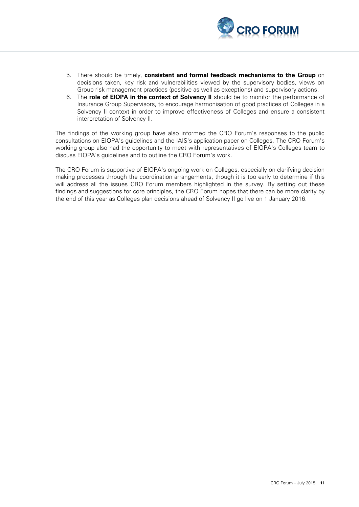

- 5. There should be timely, **consistent and formal feedback mechanisms to the Group** on decisions taken, key risk and vulnerabilities viewed by the supervisory bodies, views on Group risk management practices (positive as well as exceptions) and supervisory actions.
- 6. The **role of EIOPA in the context of Solvency II** should be to monitor the performance of Insurance Group Supervisors, to encourage harmonisation of good practices of Colleges in a Solvency II context in order to improve effectiveness of Colleges and ensure a consistent interpretation of Solvency II.

The findings of the working group have also informed the CRO Forum's responses to the public consultations on EIOPA's guidelines and the IAIS's application paper on Colleges. The CRO Forum's working group also had the opportunity to meet with representatives of EIOPA's Colleges team to discuss EIOPA's guidelines and to outline the CRO Forum's work.

The CRO Forum is supportive of EIOPA's ongoing work on Colleges, especially on clarifying decision making processes through the coordination arrangements, though it is too early to determine if this will address all the issues CRO Forum members highlighted in the survey. By setting out these findings and suggestions for core principles, the CRO Forum hopes that there can be more clarity by the end of this year as Colleges plan decisions ahead of Solvency II go live on 1 January 2016.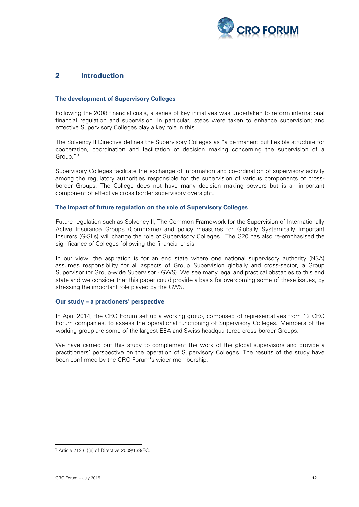

# **2 Introduction**

## **The development of Supervisory Colleges**

Following the 2008 financial crisis, a series of key initiatives was undertaken to reform international financial regulation and supervision. In particular, steps were taken to enhance supervision; and effective Supervisory Colleges play a key role in this.

The Solvency II Directive defines the Supervisory Colleges as "a permanent but flexible structure for cooperation, coordination and facilitation of decision making concerning the supervision of a Group."<sup>3</sup>

Supervisory Colleges facilitate the exchange of information and co-ordination of supervisory activity among the regulatory authorities responsible for the supervision of various components of crossborder Groups. The College does not have many decision making powers but is an important component of effective cross border supervisory oversight.

#### **The impact of future regulation on the role of Supervisory Colleges**

Future regulation such as Solvency II, The Common Framework for the Supervision of Internationally Active Insurance Groups (ComFrame) and policy measures for Globally Systemically Important Insurers (G-SIIs) will change the role of Supervisory Colleges. The G20 has also re-emphasised the significance of Colleges following the financial crisis.

In our view, the aspiration is for an end state where one national supervisory authority (NSA) assumes responsibility for all aspects of Group Supervision globally and cross-sector, a Group Supervisor (or Group-wide Supervisor - GWS). We see many legal and practical obstacles to this end state and we consider that this paper could provide a basis for overcoming some of these issues, by stressing the important role played by the GWS.

#### **Our study – a practioners' perspective**

In April 2014, the CRO Forum set up a working group, comprised of representatives from 12 CRO Forum companies, to assess the operational functioning of Supervisory Colleges. Members of the working group are some of the largest EEA and Swiss headquartered cross-border Groups.

We have carried out this study to complement the work of the global supervisors and provide a practitioners' perspective on the operation of Supervisory Colleges. The results of the study have been confirmed by the CRO Forum's wider membership.

l

<sup>3</sup> Article 212 (1)(e) of Directive 2009/138/EC.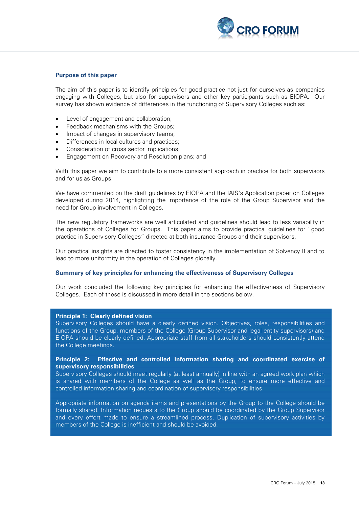

#### **Purpose of this paper**

The aim of this paper is to identify principles for good practice not just for ourselves as companies engaging with Colleges, but also for supervisors and other key participants such as EIOPA. Our survey has shown evidence of differences in the functioning of Supervisory Colleges such as:

- Level of engagement and collaboration;
- Feedback mechanisms with the Groups;
- Impact of changes in supervisory teams;
- Differences in local cultures and practices;
- Consideration of cross sector implications;
- Engagement on Recovery and Resolution plans; and

With this paper we aim to contribute to a more consistent approach in practice for both supervisors and for us as Groups.

We have commented on the draft guidelines by EIOPA and the IAIS's Application paper on Colleges developed during 2014, highlighting the importance of the role of the Group Supervisor and the need for Group involvement in Colleges.

The new regulatory frameworks are well articulated and guidelines should lead to less variability in the operations of Colleges for Groups. This paper aims to provide practical guidelines for "good practice in Supervisory Colleges" directed at both insurance Groups and their supervisors.

Our practical insights are directed to foster consistency in the implementation of Solvency II and to lead to more uniformity in the operation of Colleges globally.

## **Summary of key principles for enhancing the effectiveness of Supervisory Colleges**

Our work concluded the following key principles for enhancing the effectiveness of Supervisory Colleges. Each of these is discussed in more detail in the sections below.

#### **Principle 1: Clearly defined vision**

Supervisory Colleges should have a clearly defined vision. Objectives, roles, responsibilities and functions of the Group, members of the College (Group Supervisor and legal entity supervisors) and EIOPA should be clearly defined. Appropriate staff from all stakeholders should consistently attend the College meetings.

# **Principle 2: Effective and controlled information sharing and coordinated exercise of supervisory responsibilities**

Supervisory Colleges should meet regularly (at least annually) in line with an agreed work plan which is shared with members of the College as well as the Group, to ensure more effective and controlled information sharing and coordination of supervisory responsibilities.

Appropriate information on agenda items and presentations by the Group to the College should be formally shared. Information requests to the Group should be coordinated by the Group Supervisor and every effort made to ensure a streamlined process. Duplication of supervisory activities by members of the College is inefficient and should be avoided.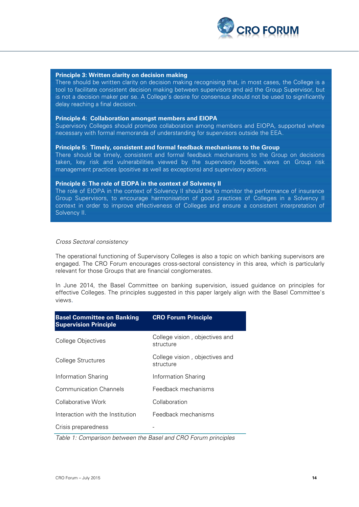

#### **Principle 3: Written clarity on decision making**

There should be written clarity on decision making recognising that, in most cases, the College is a tool to facilitate consistent decision making between supervisors and aid the Group Supervisor, but is not a decision maker per se. A College's desire for consensus should not be used to significantly delay reaching a final decision.

#### **Principle 4: Collaboration amongst members and EIOPA**

Supervisory Colleges should promote collaboration among members and EIOPA, supported where necessary with formal memoranda of understanding for supervisors outside the EEA.

#### **Principle 5: Timely, consistent and formal feedback mechanisms to the Group**

There should be timely, consistent and formal feedback mechanisms to the Group on decisions taken, key risk and vulnerabilities viewed by the supervisory bodies, views on Group risk management practices (positive as well as exceptions) and supervisory actions.

#### **Principle 6: The role of EIOPA in the context of Solvency II**

The role of EIOPA in the context of Solvency II should be to monitor the performance of insurance Group Supervisors, to encourage harmonisation of good practices of Colleges in a Solvency II context in order to improve effectiveness of Colleges and ensure a consistent interpretation of Solvency II.

#### *Cross Sectoral consistency*

The operational functioning of Supervisory Colleges is also a topic on which banking supervisors are engaged. The CRO Forum encourages cross-sectoral consistency in this area, which is particularly relevant for those Groups that are financial conglomerates.

In June 2014, the Basel Committee on banking supervision, issued guidance on principles for effective Colleges. The principles suggested in this paper largely align with the Basel Committee's views.

| <b>Basel Committee on Banking</b><br><b>Supervision Principle</b> | <b>CRO Forum Principle</b>                  |
|-------------------------------------------------------------------|---------------------------------------------|
| College Objectives                                                | College vision, objectives and<br>structure |
| College Structures                                                | College vision, objectives and<br>structure |
| Information Sharing                                               | Information Sharing                         |
| Communication Channels                                            | Feedback mechanisms                         |
| Collaborative Work                                                | Collaboration                               |
| Interaction with the Institution                                  | Feedback mechanisms                         |
| Crisis preparedness                                               |                                             |

*Table 1: Comparison between the Basel and CRO Forum principles*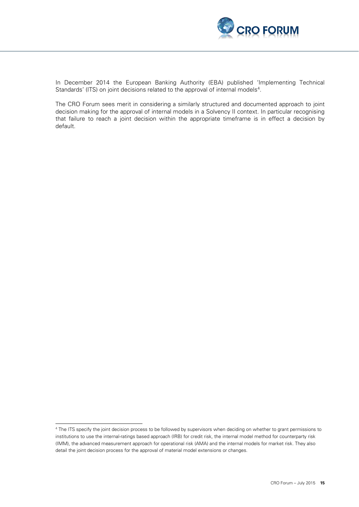

In December 2014 the European Banking Authority (EBA) published 'Implementing Technical Standards' (ITS) on joint decisions related to the approval of internal models<sup>4</sup>.

The CRO Forum sees merit in considering a similarly structured and documented approach to joint decision making for the approval of internal models in a Solvency II context. In particular recognising that failure to reach a joint decision within the appropriate timeframe is in effect a decision by default.

l

<sup>&</sup>lt;sup>4</sup> The ITS specify the joint decision process to be followed by supervisors when deciding on whether to grant permissions to institutions to use the internal-ratings based approach (IRB) for credit risk, the internal model method for counterparty risk (IMM), the advanced measurement approach for operational risk (AMA) and the internal models for market risk. They also detail the joint decision process for the approval of material model extensions or changes.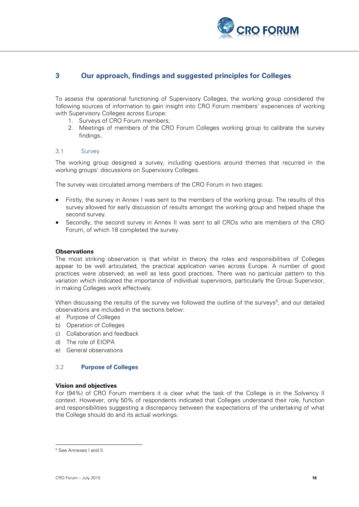

# **3 Our approach, findings and suggested principles for Colleges**

To assess the operational functioning of Supervisory Colleges, the working group considered the following sources of information to gain insight into CRO Forum members' experiences of working with Supervisory Colleges across Europe:

- 1. Surveys of CRO Forum members;
- 2. Meetings of members of the CRO Forum Colleges working group to calibrate the survey findings.

# 3.1 Survey

The working group designed a survey, including questions around themes that recurred in the working groups' discussions on Supervisory Colleges.

The survey was circulated among members of the CRO Forum in two stages:

- Firstly, the survey in Annex I was sent to the members of the working group. The results of this survey allowed for early discussion of results amongst the working group and helped shape the second survey.
- Secondly, the second survey in Annex II was sent to all CROs who are members of the CRO Forum, of which 18 completed the survey.

#### **Observations**

The most striking observation is that whilst in theory the roles and responsibilities of Colleges appear to be well articulated, the practical application varies across Europe. A number of good practices were observed; as well as less good practices. There was no particular pattern to this variation which indicated the importance of individual supervisors, particularly the Group Supervisor, in making Colleges work effectively.

When discussing the results of the survey we followed the outline of the surveys<sup>5</sup>, and our detailed observations are included in the sections below:

- a) Purpose of Colleges
- b) Operation of Colleges
- c) Collaboration and feedback
- d) The role of EIOPA
- e) General observations

#### 3.2 **Purpose of Colleges**

# **Vision and objectives**

For (94%) of CRO Forum members it is clear what the task of the College is in the Solvency II context. However, only 50% of respondents indicated that Colleges understand their role, function and responsibilities suggesting a discrepancy between the expectations of the undertaking of what the College should do and its actual workings.

l

<sup>5</sup> See Annexes I and II.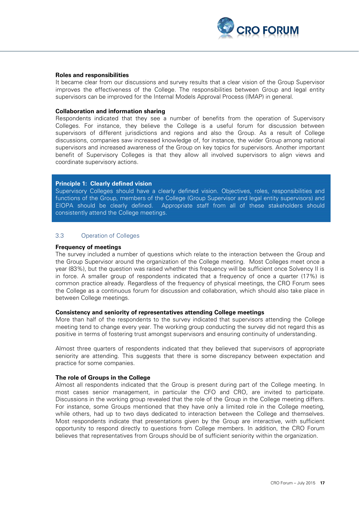

#### **Roles and responsibilities**

It became clear from our discussions and survey results that a clear vision of the Group Supervisor improves the effectiveness of the College. The responsibilities between Group and legal entity supervisors can be improved for the Internal Models Approval Process (IMAP) in general.

## **Collaboration and information sharing**

Respondents indicated that they see a number of benefits from the operation of Supervisory Colleges. For instance, they believe the College is a useful forum for discussion between supervisors of different jurisdictions and regions and also the Group. As a result of College discussions, companies saw increased knowledge of, for instance, the wider Group among national supervisors and increased awareness of the Group on key topics for supervisors. Another important benefit of Supervisory Colleges is that they allow all involved supervisors to align views and coordinate supervisory actions.

# **Principle 1: Clearly defined vision**

Supervisory Colleges should have a clearly defined vision. Objectives, roles, responsibilities and functions of the Group, members of the College (Group Supervisor and legal entity supervisors) and EIOPA should be clearly defined. Appropriate staff from all of these stakeholders should consistently attend the College meetings.

# 3.3 Operation of Colleges

#### **Frequency of meetings**

The survey included a number of questions which relate to the interaction between the Group and the Group Supervisor around the organization of the College meeting. Most Colleges meet once a year (83%), but the question was raised whether this frequency will be sufficient once Solvency II is in force. A smaller group of respondents indicated that a frequency of once a quarter (17%) is common practice already. Regardless of the frequency of physical meetings, the CRO Forum sees the College as a continuous forum for discussion and collaboration, which should also take place in between College meetings.

## **Consistency and seniority of representatives attending College meetings**

More than half of the respondents to the survey indicated that supervisors attending the College meeting tend to change every year. The working group conducting the survey did not regard this as positive in terms of fostering trust amongst supervisors and ensuring continuity of understanding.

Almost three quarters of respondents indicated that they believed that supervisors of appropriate seniority are attending. This suggests that there is some discrepancy between expectation and practice for some companies.

#### **The role of Groups in the College**

Almost all respondents indicated that the Group is present during part of the College meeting. In most cases senior management, in particular the CFO and CRO, are invited to participate. Discussions in the working group revealed that the role of the Group in the College meeting differs. For instance, some Groups mentioned that they have only a limited role in the College meeting, while others, had up to two days dedicated to interaction between the College and themselves. Most respondents indicate that presentations given by the Group are interactive, with sufficient opportunity to respond directly to questions from College members. In addition, the CRO Forum believes that representatives from Groups should be of sufficient seniority within the organization.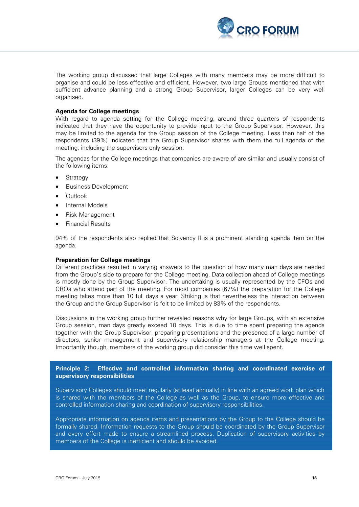

The working group discussed that large Colleges with many members may be more difficult to organise and could be less effective and efficient. However, two large Groups mentioned that with sufficient advance planning and a strong Group Supervisor, larger Colleges can be very well organised.

## **Agenda for College meetings**

With regard to agenda setting for the College meeting, around three quarters of respondents indicated that they have the opportunity to provide input to the Group Supervisor. However, this may be limited to the agenda for the Group session of the College meeting. Less than half of the respondents (39%) indicated that the Group Supervisor shares with them the full agenda of the meeting, including the supervisors only session.

The agendas for the College meetings that companies are aware of are similar and usually consist of the following items:

- **Strategy**
- Business Development
- Outlook
- Internal Models
- Risk Management
- Financial Results

94% of the respondents also replied that Solvency II is a prominent standing agenda item on the agenda.

#### **Preparation for College meetings**

Different practices resulted in varying answers to the question of how many man days are needed from the Group's side to prepare for the College meeting. Data collection ahead of College meetings is mostly done by the Group Supervisor. The undertaking is usually represented by the CFOs and CROs who attend part of the meeting. For most companies (67%) the preparation for the College meeting takes more than 10 full days a year. Striking is that nevertheless the interaction between the Group and the Group Supervisor is felt to be limited by 83% of the respondents.

Discussions in the working group further revealed reasons why for large Groups, with an extensive Group session, man days greatly exceed 10 days. This is due to time spent preparing the agenda together with the Group Supervisor, preparing presentations and the presence of a large number of directors, senior management and supervisory relationship managers at the College meeting. Importantly though, members of the working group did consider this time well spent.

**Principle 2: Effective and controlled information sharing and coordinated exercise of supervisory responsibilities**

Supervisory Colleges should meet regularly (at least annually) in line with an agreed work plan which is shared with the members of the College as well as the Group, to ensure more effective and controlled information sharing and coordination of supervisory responsibilities.

Appropriate information on agenda items and presentations by the Group to the College should be formally shared. Information requests to the Group should be coordinated by the Group Supervisor and every effort made to ensure a streamlined process. Duplication of supervisory activities by members of the College is inefficient and should be avoided.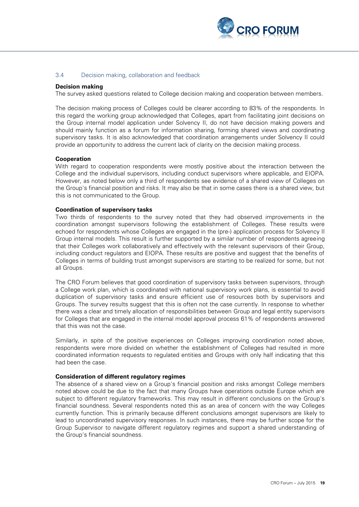

#### 3.4 Decision making, collaboration and feedback

## **Decision making**

The survey asked questions related to College decision making and cooperation between members.

The decision making process of Colleges could be clearer according to 83% of the respondents. In this regard the working group acknowledged that Colleges, apart from facilitating joint decisions on the Group internal model application under Solvency II, do not have decision making powers and should mainly function as a forum for information sharing, forming shared views and coordinating supervisory tasks. It is also acknowledged that coordination arrangements under Solvency II could provide an opportunity to address the current lack of clarity on the decision making process.

#### **Cooperation**

With regard to cooperation respondents were mostly positive about the interaction between the College and the individual supervisors, including conduct supervisors where applicable, and EIOPA. However, as noted below only a third of respondents see evidence of a shared view of Colleges on the Group's financial position and risks. It may also be that in some cases there is a shared view, but this is not communicated to the Group.

#### **Coordination of supervisory tasks**

Two thirds of respondents to the survey noted that they had observed improvements in the coordination amongst supervisors following the establishment of Colleges. These results were echoed for respondents whose Colleges are engaged in the (pre-) application process for Solvency II Group internal models. This result is further supported by a similar number of respondents agreeing that their Colleges work collaboratively and effectively with the relevant supervisors of their Group, including conduct regulators and EIOPA. These results are positive and suggest that the benefits of Colleges in terms of building trust amongst supervisors are starting to be realized for some, but not all Groups.

The CRO Forum believes that good coordination of supervisory tasks between supervisors, through a College work plan, which is coordinated with national supervisory work plans, is essential to avoid duplication of supervisory tasks and ensure efficient use of resources both by supervisors and Groups. The survey results suggest that this is often not the case currently. In response to whether there was a clear and timely allocation of responsibilities between Group and legal entity supervisors for Colleges that are engaged in the internal model approval process 61% of respondents answered that this was not the case.

Similarly, in spite of the positive experiences on Colleges improving coordination noted above, respondents were more divided on whether the establishment of Colleges had resulted in more coordinated information requests to regulated entities and Groups with only half indicating that this had been the case.

#### **Consideration of different regulatory regimes**

The absence of a shared view on a Group's financial position and risks amongst College members noted above could be due to the fact that many Groups have operations outside Europe which are subject to different regulatory frameworks. This may result in different conclusions on the Group's financial soundness. Several respondents noted this as an area of concern with the way Colleges currently function. This is primarily because different conclusions amongst supervisors are likely to lead to uncoordinated supervisory responses. In such instances, there may be further scope for the Group Supervisor to navigate different regulatory regimes and support a shared understanding of the Group's financial soundness.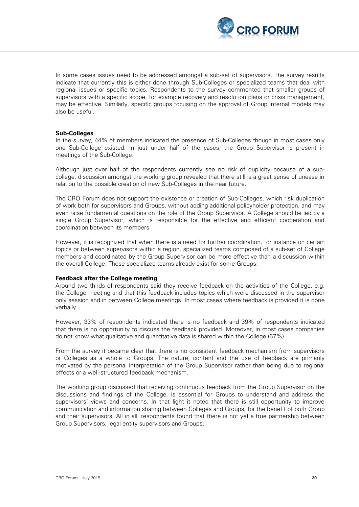

In some cases issues need to be addressed amongst a sub-set of supervisors. The survey results indicate that currently this is either done through Sub-Colleges or specialized teams that deal with regional issues or specific topics. Respondents to the survey commented that smaller groups of supervisors with a specific scope, for example recovery and resolution plans or crisis management, may be effective. Similarly, specific groups focusing on the approval of Group internal models may also be useful.

#### **Sub-Colleges**

In the survey, 44% of members indicated the presence of Sub-Colleges though in most cases only one Sub-College existed. In just under half of the cases, the Group Supervisor is present in meetings of the Sub-College.

Although just over half of the respondents currently see no risk of duplicity because of a subcollege, discussion amongst the working group revealed that there still is a great sense of unease in relation to the possible creation of new Sub-Colleges in the near future.

The CRO Forum does not support the existence or creation of Sub-Colleges, which risk duplication of work both for supervisors and Groups, without adding additional policyholder protection, and may even raise fundamental questions on the role of the Group Supervisor. A College should be led by a single Group Supervisor, which is responsible for the effective and efficient cooperation and coordination between its members.

However, it is recognized that when there is a need for further coordination, for instance on certain topics or between supervisors within a region, specialized teams composed of a sub-set of College members and coordinated by the Group Supervisor can be more effective than a discussion within the overall College. These specialized teams already exist for some Groups.

#### **Feedback after the College meeting**

Around two thirds of respondents said they receive feedback on the activities of the College, e.g. the College meeting and that this feedback includes topics which were discussed in the supervisor only session and in between College meetings. In most cases where feedback is provided it is done verbally.

However, 33% of respondents indicated there is no feedback and 39% of respondents indicated that there is no opportunity to discuss the feedback provided. Moreover, in most cases companies do not know what qualitative and quantitative data is shared within the College (67%).

From the survey it became clear that there is no consistent feedback mechanism from supervisors or Colleges as a whole to Groups. The nature, content and the use of feedback are primarily motivated by the personal interpretation of the Group Supervisor rather than being due to regional effects or a well-structured feedback mechanism.

The working group discussed that receiving continuous feedback from the Group Supervisor on the discussions and findings of the College, is essential for Groups to understand and address the supervisors' views and concerns. In that light it noted that there is still opportunity to improve communication and information sharing between Colleges and Groups, for the benefit of both Group and their supervisors. All in all, respondents found that there is not yet a true partnership between Group Supervisors, legal entity supervisors and Groups.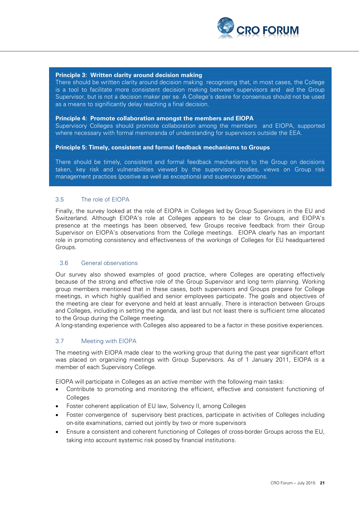

#### **Principle 3: Written clarity around decision making**

There should be written clarity around decision making recognising that, in most cases, the College is a tool to facilitate more consistent decision making between supervisors and aid the Group Supervisor, but is not a decision maker per se. A College's desire for consensus should not be used as a means to significantly delay reaching a final decision.

#### **Principle 4: Promote collaboration amongst the members and EIOPA**

Supervisory Colleges should promote collaboration among the members and EIOPA, supported where necessary with formal memoranda of understanding for supervisors outside the EEA.

#### **Principle 5: Timely, consistent and formal feedback mechanisms to Groups**

There should be timely, consistent and formal feedback mechanisms to the Group on decisions taken, key risk and vulnerabilities viewed by the supervisory bodies, views on Group risk management practices (positive as well as exceptions) and supervisory actions.

#### 3.5 The role of EIOPA

Finally, the survey looked at the role of EIOPA in Colleges led by Group Supervisors in the EU and Switzerland. Although EIOPA's role at Colleges appears to be clear to Groups, and EIOPA's presence at the meetings has been observed, few Groups receive feedback from their Group Supervisor on EIOPA's observations from the College meetings. EIOPA clearly has an important role in promoting consistency and effectiveness of the workings of Colleges for EU headquartered Groups.

# 3.6 General observations

Our survey also showed examples of good practice, where Colleges are operating effectively because of the strong and effective role of the Group Supervisor and long term planning. Working group members mentioned that in these cases, both supervisors and Groups prepare for College meetings, in which highly qualified and senior employees participate. The goals and objectives of the meeting are clear for everyone and held at least annually. There is interaction between Groups and Colleges, including in setting the agenda, and last but not least there is sufficient time allocated to the Group during the College meeting.

A long-standing experience with Colleges also appeared to be a factor in these positive experiences.

# 3.7 Meeting with EIOPA

The meeting with EIOPA made clear to the working group that during the past year significant effort was placed on organizing meetings with Group Supervisors. As of 1 January 2011, EIOPA is a member of each Supervisory College.

EIOPA will participate in Colleges as an active member with the following main tasks:

- Contribute to promoting and monitoring the efficient, effective and consistent functioning of **Colleges**
- Foster coherent application of EU law, Solvency II, among Colleges
- Foster convergence of supervisory best practices, participate in activities of Colleges including on-site examinations, carried out jointly by two or more supervisors
- Ensure a consistent and coherent functioning of Colleges of cross-border Groups across the EU, taking into account systemic risk posed by financial institutions.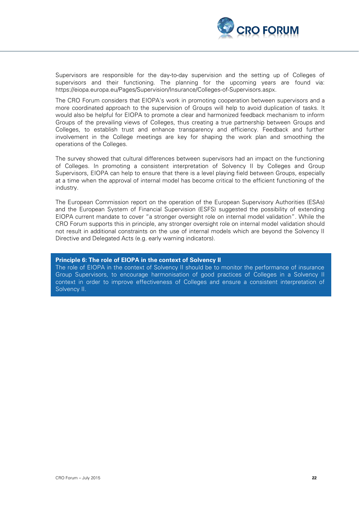

Supervisors are responsible for the day-to-day supervision and the setting up of Colleges of supervisors and their functioning. The planning for the upcoming years are found via: https://eiopa.europa.eu/Pages/Supervision/Insurance/Colleges-of-Supervisors.aspx.

The CRO Forum considers that EIOPA's work in promoting cooperation between supervisors and a more coordinated approach to the supervision of Groups will help to avoid duplication of tasks. It would also be helpful for EIOPA to promote a clear and harmonized feedback mechanism to inform Groups of the prevailing views of Colleges, thus creating a true partnership between Groups and Colleges, to establish trust and enhance transparency and efficiency. Feedback and further involvement in the College meetings are key for shaping the work plan and smoothing the operations of the Colleges.

The survey showed that cultural differences between supervisors had an impact on the functioning of Colleges. In promoting a consistent interpretation of Solvency II by Colleges and Group Supervisors, EIOPA can help to ensure that there is a level playing field between Groups, especially at a time when the approval of internal model has become critical to the efficient functioning of the industry.

The European Commission report on the operation of the European Supervisory Authorities (ESAs) and the European System of Financial Supervision (ESFS) suggested the possibility of extending EIOPA current mandate to cover "a stronger oversight role on internal model validation". While the CRO Forum supports this in principle, any stronger oversight role on internal model validation should not result in additional constraints on the use of internal models which are beyond the Solvency II Directive and Delegated Acts (e.g. early warning indicators).

#### **Principle 6: The role of EIOPA in the context of Solvency II**

The role of EIOPA in the context of Solvency II should be to monitor the performance of insurance Group Supervisors, to encourage harmonisation of good practices of Colleges in a Solvency II context in order to improve effectiveness of Colleges and ensure a consistent interpretation of Solvency II.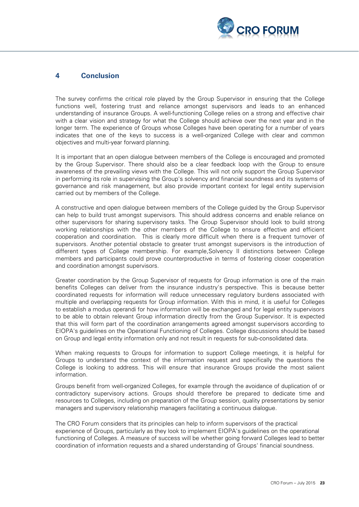

# **4 Conclusion**

The survey confirms the critical role played by the Group Supervisor in ensuring that the College functions well, fostering trust and reliance amongst supervisors and leads to an enhanced understanding of insurance Groups. A well-functioning College relies on a strong and effective chair with a clear vision and strategy for what the College should achieve over the next year and in the longer term. The experience of Groups whose Colleges have been operating for a number of years indicates that one of the keys to success is a well-organized College with clear and common objectives and multi-year forward planning.

It is important that an open dialogue between members of the College is encouraged and promoted by the Group Supervisor. There should also be a clear feedback loop with the Group to ensure awareness of the prevailing views with the College. This will not only support the Group Supervisor in performing its role in supervising the Group's solvency and financial soundness and its systems of governance and risk management, but also provide important context for legal entity supervision carried out by members of the College.

A constructive and open dialogue between members of the College guided by the Group Supervisor can help to build trust amongst supervisors. This should address concerns and enable reliance on other supervisors for sharing supervisory tasks. The Group Supervisor should look to build strong working relationships with the other members of the College to ensure effective and efficient cooperation and coordination. This is clearly more difficult when there is a frequent turnover of supervisors. Another potential obstacle to greater trust amongst supervisors is the introduction of different types of College membership. For example,Solvency II distinctions between College members and participants could prove counterproductive in terms of fostering closer cooperation and coordination amongst supervisors.

Greater coordination by the Group Supervisor of requests for Group information is one of the main benefits Colleges can deliver from the insurance industry's perspective. This is because better coordinated requests for information will reduce unnecessary regulatory burdens associated with multiple and overlapping requests for Group information. With this in mind, it is useful for Colleges to establish a modus operandi for how information will be exchanged and for legal entity supervisors to be able to obtain relevant Group information directly from the Group Supervisor. It is expected that this will form part of the coordination arrangements agreed amongst supervisors according to EIOPA's guidelines on the Operational Functioning of Colleges. College discussions should be based on Group and legal entity information only and not result in requests for sub-consolidated data.

When making requests to Groups for information to support College meetings, it is helpful for Groups to understand the context of the information request and specifically the questions the College is looking to address. This will ensure that insurance Groups provide the most salient information.

Groups benefit from well-organized Colleges, for example through the avoidance of duplication of or contradictory supervisory actions. Groups should therefore be prepared to dedicate time and resources to Colleges, including on preparation of the Group session, quality presentations by senior managers and supervisory relationship managers facilitating a continuous dialogue.

The CRO Forum considers that its principles can help to inform supervisors of the practical experience of Groups, particularly as they look to implement EIOPA's guidelines on the operational functioning of Colleges. A measure of success will be whether going forward Colleges lead to better coordination of information requests and a shared understanding of Groups' financial soundness.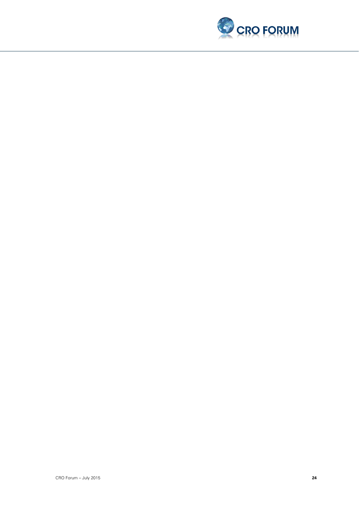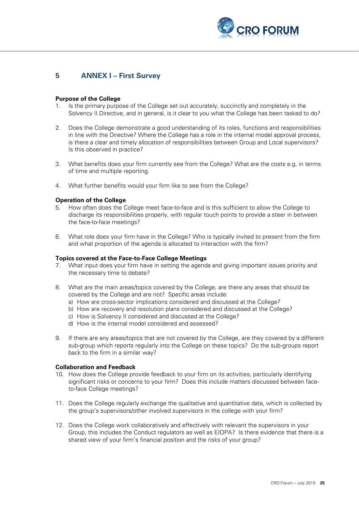

# **5 ANNEX I – First Survey**

# **Purpose of the College**

- 1. Is the primary purpose of the College set out accurately, succinctly and completely in the Solvency II Directive, and in general, is it clear to you what the College has been tasked to do?
- 2. Does the College demonstrate a good understanding of its roles, functions and responsibilities in line with the Directive? Where the College has a role in the internal model approval process, is there a clear and timely allocation of responsibilities between Group and Local supervisors? Is this observed in practice?
- 3. What benefits does your firm currently see from the College? What are the costs e.g. in terms of time and multiple reporting.
- 4. What further benefits would your firm like to see from the College?

# **Operation of the College**

- 5. How often does the College meet face-to-face and is this sufficient to allow the College to discharge its responsibilities properly, with regular touch points to provide a steer in between the face-to-face meetings?
- 6. What role does your firm have in the College? Who is typically invited to present from the firm and what proportion of the agenda is allocated to interaction with the firm?

#### **Topics covered at the Face-to-Face College Meetings**

- 7. What input does your firm have in setting the agenda and giving important issues priority and the necessary time to debate?
- 8. What are the main areas/topics covered by the College, are there any areas that should be covered by the College and are not? Specific areas include:
	- a) How are cross-sector implications considered and discussed at the College?
	- b) How are recovery and resolution plans considered and discussed at the College?
	- c) How is Solvency II considered and discussed at the College?
	- d) How is the internal model considered and assessed?
- 9. If there are any areas/topics that are not covered by the College, are they covered by a different sub-group which reports regularly into the College on these topics? Do the sub-groups report back to the firm in a similar way?

#### **Collaboration and Feedback**

- 10. How does the College provide feedback to your firm on its activities, particularly identifying significant risks or concerns to your firm? Does this include matters discussed between faceto-face College meetings?
- 11. Does the College regularly exchange the qualitative and quantitative data, which is collected by the group's supervisors/other involved supervisors in the college with your firm?
- 12. Does the College work collaboratively and effectively with relevant the supervisors in your Group, this includes the Conduct regulators as well as EIOPA? Is there evidence that there is a shared view of your firm's financial position and the risks of your group?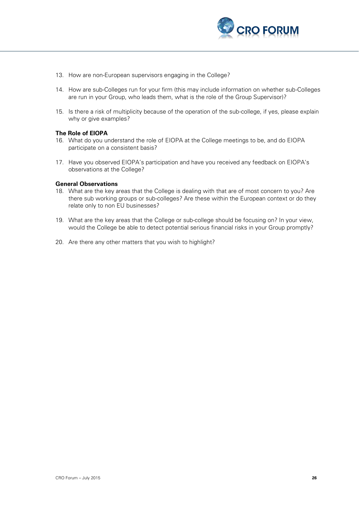

- 13. How are non-European supervisors engaging in the College?
- 14. How are sub-Colleges run for your firm (this may include information on whether sub-Colleges are run in your Group, who leads them, what is the role of the Group Supervisor)?
- 15. Is there a risk of multiplicity because of the operation of the sub-college, if yes, please explain why or give examples?

# **The Role of EIOPA**

- 16. What do you understand the role of EIOPA at the College meetings to be, and do EIOPA participate on a consistent basis?
- 17. Have you observed EIOPA's participation and have you received any feedback on EIOPA's observations at the College?

#### **General Observations**

- 18. What are the key areas that the College is dealing with that are of most concern to you? Are there sub working groups or sub-colleges? Are these within the European context or do they relate only to non EU businesses?
- 19. What are the key areas that the College or sub-college should be focusing on? In your view, would the College be able to detect potential serious financial risks in your Group promptly?
- 20. Are there any other matters that you wish to highlight?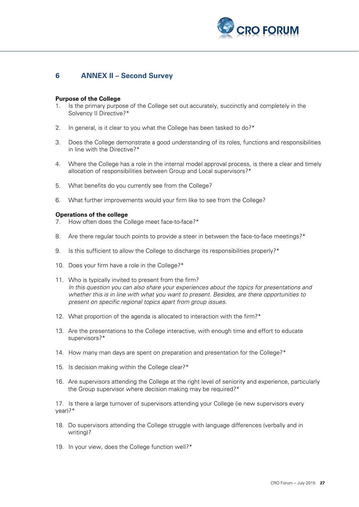

# **6 ANNEX II – Second Survey**

#### **Purpose of the College**

- 1. Is the primary purpose of the College set out accurately, succinctly and completely in the Solvency II Directive?\*
- 2. In general, is it clear to you what the College has been tasked to do?\*
- 3. Does the College demonstrate a good understanding of its roles, functions and responsibilities in line with the Directive?\*
- 4. Where the College has a role in the internal model approval process, is there a clear and timely allocation of responsibilities between Group and Local supervisors?\*
- 5. What benefits do you currently see from the College?
- 6. What further improvements would your firm like to see from the College?

# **Operations of the college**

- 7. How often does the College meet face-to-face?\*
- 8. Are there regular touch points to provide a steer in between the face-to-face meetings?\*
- 9. Is this sufficient to allow the College to discharge its responsibilities properly?\*
- 10. Does your firm have a role in the College?\*
- 11. Who is typically invited to present from the firm? *In this question you can also share your experiences about the topics for presentations and whether this is in line with what you want to present. Besides, are there opportunities to present on specific regional topics apart from group issues.*
- 12. What proportion of the agenda is allocated to interaction with the firm?\*
- 13. Are the presentations to the College interactive, with enough time and effort to educate supervisors?\*
- 14. How many man days are spent on preparation and presentation for the College?\*
- 15. Is decision making within the College clear?\*
- 16. Are supervisors attending the College at the right level of seniority and experience, particularly the Group supervisor where decision making may be required?\*

17. Is there a large turnover of supervisors attending your College (ie new supervisors every year)?\*

- 18. Do supervisors attending the College struggle with language differences (verbally and in writing)?
- 19. In your view, does the College function well?\*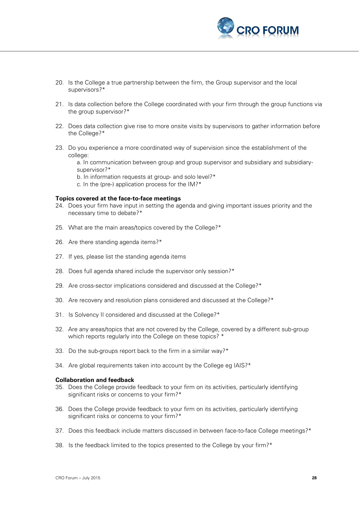

- 20. Is the College a true partnership between the firm, the Group supervisor and the local supervisors?\*
- 21. Is data collection before the College coordinated with your firm through the group functions via the group supervisor?\*
- 22. Does data collection give rise to more onsite visits by supervisors to gather information before the College?\*
- 23. Do you experience a more coordinated way of supervision since the establishment of the college:

a. In communication between group and group supervisor and subsidiary and subsidiarysupervisor?\*

- b. In information requests at group- and solo level?\*
- c. In the (pre-) application process for the IM?\*

#### **Topics covered at the face-to-face meetings**

- 24. Does your firm have input in setting the agenda and giving important issues priority and the necessary time to debate?\*
- 25. What are the main areas/topics covered by the College?\*
- 26. Are there standing agenda items?\*
- 27. If yes, please list the standing agenda items
- 28. Does full agenda shared include the supervisor only session?\*
- 29. Are cross-sector implications considered and discussed at the College?\*
- 30. Are recovery and resolution plans considered and discussed at the College?\*
- 31. Is Solvency II considered and discussed at the College?\*
- 32. Are any areas/topics that are not covered by the College, covered by a different sub-group which reports regularly into the College on these topics? \*
- 33. Do the sub-groups report back to the firm in a similar way?\*
- 34. Are global requirements taken into account by the College eg IAIS?\*

#### **Collaboration and feedback**

- 35. Does the College provide feedback to your firm on its activities, particularly identifying significant risks or concerns to your firm?\*
- 36. Does the College provide feedback to your firm on its activities, particularly identifying significant risks or concerns to your firm?\*
- 37. Does this feedback include matters discussed in between face-to-face College meetings?\*
- 38. Is the feedback limited to the topics presented to the College by your firm?\*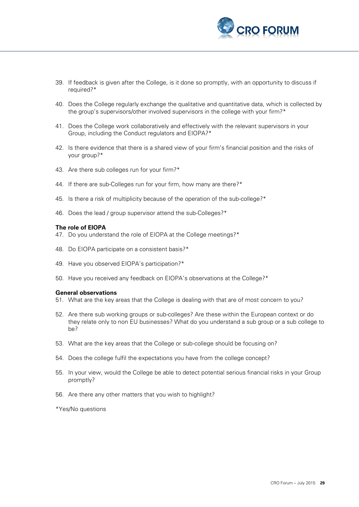

- 39. If feedback is given after the College, is it done so promptly, with an opportunity to discuss if required?\*
- 40. Does the College regularly exchange the qualitative and quantitative data, which is collected by the group's supervisors/other involved supervisors in the college with your firm?\*
- 41. Does the College work collaboratively and effectively with the relevant supervisors in your Group, including the Conduct regulators and EIOPA?\*
- 42. Is there evidence that there is a shared view of your firm's financial position and the risks of your group?\*
- 43. Are there sub colleges run for your firm?\*
- 44. If there are sub-Colleges run for your firm, how many are there?\*
- 45. Is there a risk of multiplicity because of the operation of the sub-college?\*
- 46. Does the lead / group supervisor attend the sub-Colleges?\*

#### **The role of EIOPA**

- 47. Do you understand the role of EIOPA at the College meetings?\*
- 48. Do EIOPA participate on a consistent basis?\*
- 49. Have you observed EIOPA's participation?\*
- 50. Have you received any feedback on EIOPA's observations at the College?\*

#### **General observations**

- 51. What are the key areas that the College is dealing with that are of most concern to you?
- 52. Are there sub working groups or sub-colleges? Are these within the European context or do they relate only to non EU businesses? What do you understand a sub group or a sub college to be?
- 53. What are the key areas that the College or sub-college should be focusing on?
- 54. Does the college fulfil the expectations you have from the college concept?
- 55. In your view, would the College be able to detect potential serious financial risks in your Group promptly?
- 56. Are there any other matters that you wish to highlight?

\*Yes/No questions